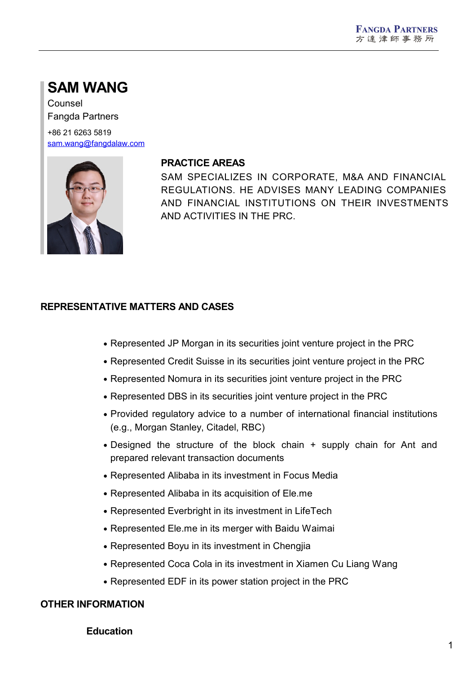# **SAM WANG**

Counsel Fangda Partners

+86 21 6263 5819 [sam.wang@fangdalaw.com](mailto:sam.wang@fangdalaw.com)



#### **PRACTICE AREAS**

SAM SPECIALIZES IN CORPORATE, M&A AND FINANCIAL REGULATIONS. HE ADVISES MANY LEADING COMPANIES AND FINANCIAL INSTITUTIONS ON THEIR INVESTMENTS AND ACTIVITIES IN THE PRC.

## **REPRESENTATIVE MATTERS AND CASES**

- Represented JP Morgan in its securities joint venture project in the PRC
- Represented Credit Suisse in its securities joint venture project in the PRC
- Represented Nomura in its securities joint venture project in the PRC
- Represented DBS in its securities joint venture project in the PRC
- Provided regulatory advice to a number of international financial institutions (e.g., Morgan Stanley, Citadel, RBC)
- Designed the structure of the block chain + supply chain for Ant and prepared relevant transaction documents
- Represented Alibaba in its investment in Focus Media
- Represented Alibaba in its acquisition of Ele.me
- Represented Everbright in its investment in LifeTech
- Represented Ele.me in its merger with Baidu Waimai
- Represented Boyu in its investment in Chengjia
- Represented Coca Cola in its investment in Xiamen Cu Liang Wang
- Represented EDF in its power station project in the PRC

#### **OTHER INFORMATION**

**Education**